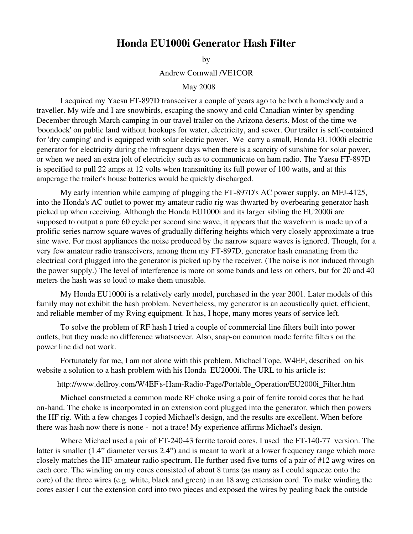## Honda EU1000i Generator Hash Filter

by

Andrew Cornwall /VE1COR

## May 2008

I acquired my Yaesu FT-897D transceiver a couple of years ago to be both a homebody and a traveller. My wife and I are snowbirds, escaping the snowy and cold Canadian winter by spending December through March camping in our travel trailer on the Arizona deserts. Most of the time we 'boondock' on public land without hookups for water, electricity, and sewer. Our trailer is self-contained for 'dry camping' and is equipped with solar electric power. We carry a small, Honda EU1000i electric generator for electricity during the infrequent days when there is a scarcity of sunshine for solar power, or when we need an extra jolt of electricity such as to communicate on ham radio. The Yaesu FT-897D is specified to pull 22 amps at 12 volts when transmitting its full power of 100 watts, and at this amperage the trailer's house batteries would be quickly discharged.

My early intention while camping of plugging the FT-897D's AC power supply, an MFJ-4125, into the Honda's AC outlet to power my amateur radio rig was thwarted by overbearing generator hash picked up when receiving. Although the Honda EU1000i and its larger sibling the EU2000i are supposed to output a pure 60 cycle per second sine wave, it appears that the waveform is made up of a prolific series narrow square waves of gradually differing heights which very closely approximate a true sine wave. For most appliances the noise produced by the narrow square waves is ignored. Though, for a very few amateur radio transceivers, among them my FT-897D, generator hash emanating from the electrical cord plugged into the generator is picked up by the receiver. (The noise is not induced through the power supply.) The level of interference is more on some bands and less on others, but for 20 and 40 meters the hash was so loud to make them unusable.

My Honda EU1000i is a relatively early model, purchased in the year 2001. Later models of this family may not exhibit the hash problem. Nevertheless, my generator is an acoustically quiet, efficient, and reliable member of my Rving equipment. It has, I hope, many mores years of service left.

To solve the problem of RF hash I tried a couple of commercial line filters built into power outlets, but they made no difference whatsoever. Also, snap-on common mode ferrite filters on the power line did not work.

Fortunately for me, I am not alone with this problem. Michael Tope, W4EF, described on his website a solution to a hash problem with his Honda EU2000i. The URL to his article is:

http://www.dellroy.com/W4EF's-Ham-Radio-Page/Portable\_Operation/EU2000i\_Filter.htm

Michael constructed a common mode RF choke using a pair of ferrite toroid cores that he had on-hand. The choke is incorporated in an extension cord plugged into the generator, which then powers the HF rig. With a few changes I copied Michael's design, and the results are excellent. When before there was hash now there is none - not a trace! My experience affirms Michael's design.

Where Michael used a pair of  $FT-240-43$  ferrite toroid cores, I used the  $FT-140-77$  version. The latter is smaller (1.4" diameter versus 2.4") and is meant to work at a lower frequency range which more closely matches the HF amateur radio spectrum. He further used five turns of a pair of #12 awg wires on each core. The winding on my cores consisted of about 8 turns (as many as I could squeeze onto the core) of the three wires (e.g. white, black and green) in an 18 awg extension cord. To make winding the cores easier I cut the extension cord into two pieces and exposed the wires by pealing back the outside